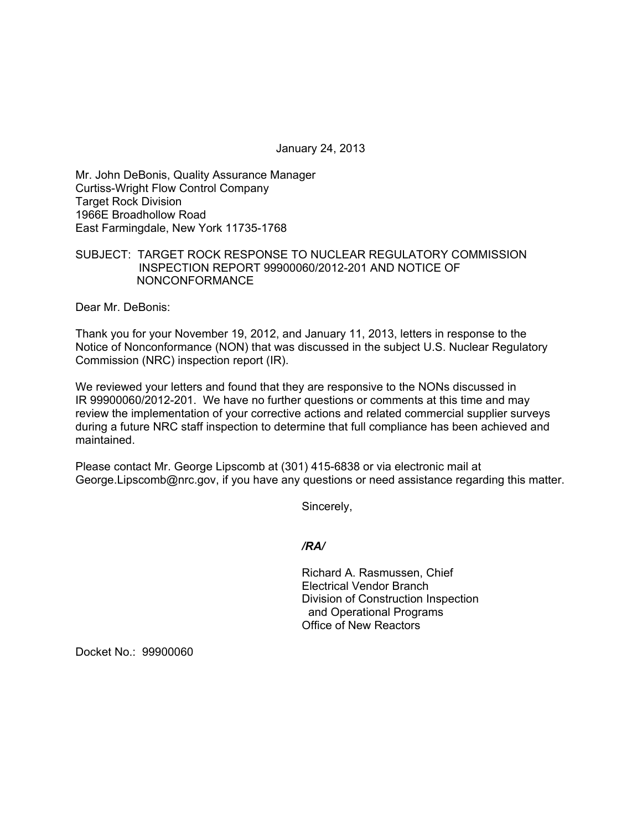January 24, 2013

Mr. John DeBonis, Quality Assurance Manager Curtiss-Wright Flow Control Company Target Rock Division 1966E Broadhollow Road East Farmingdale, New York 11735-1768

## SUBJECT: TARGET ROCK RESPONSE TO NUCLEAR REGULATORY COMMISSION INSPECTION REPORT 99900060/2012-201 AND NOTICE OF NONCONFORMANCE

Dear Mr. DeBonis:

Thank you for your November 19, 2012, and January 11, 2013, letters in response to the Notice of Nonconformance (NON) that was discussed in the subject U.S. Nuclear Regulatory Commission (NRC) inspection report (IR).

We reviewed your letters and found that they are responsive to the NONs discussed in IR 99900060/2012-201. We have no further questions or comments at this time and may review the implementation of your corrective actions and related commercial supplier surveys during a future NRC staff inspection to determine that full compliance has been achieved and maintained.

Please contact Mr. George Lipscomb at (301) 415-6838 or via electronic mail at George.Lipscomb@nrc.gov, if you have any questions or need assistance regarding this matter.

Sincerely,

## */RA/*

Richard A. Rasmussen, Chief Electrical Vendor Branch Division of Construction Inspection and Operational Programs Office of New Reactors

Docket No.: 99900060